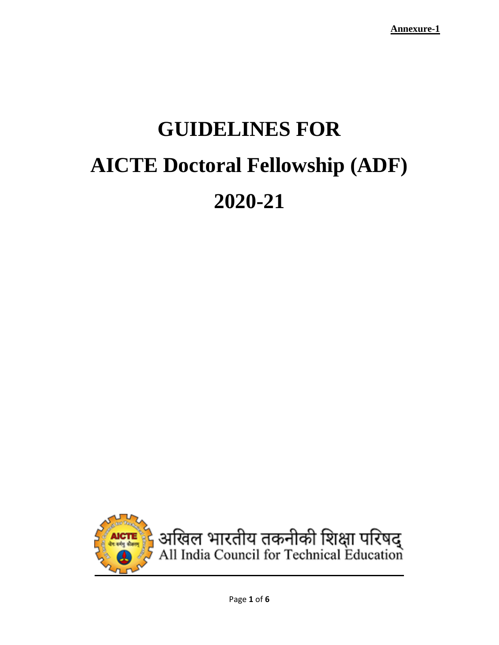# **GUIDELINES FOR AICTE Doctoral Fellowship (ADF) 2020-21**

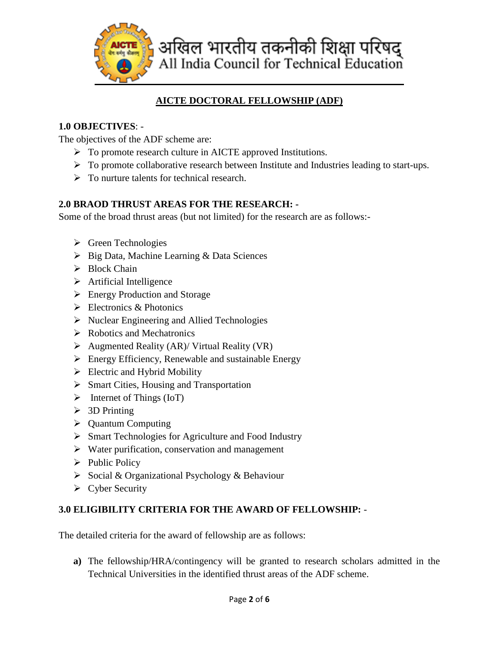

## **AICTE DOCTORAL FELLOWSHIP (ADF)**

## **1.0 OBJECTIVES**: -

The objectives of the ADF scheme are:

- $\triangleright$  To promote research culture in AICTE approved Institutions.
- $\triangleright$  To promote collaborative research between Institute and Industries leading to start-ups.
- $\triangleright$  To nurture talents for technical research.

## **2.0 BRAOD THRUST AREAS FOR THE RESEARCH: -**

Some of the broad thrust areas (but not limited) for the research are as follows:-

- $\triangleright$  Green Technologies
- $\triangleright$  Big Data, Machine Learning & Data Sciences
- $\triangleright$  Block Chain
- $\triangleright$  Artificial Intelligence
- **Energy Production and Storage**
- $\triangleright$  Electronics & Photonics
- $\triangleright$  Nuclear Engineering and Allied Technologies
- $\triangleright$  Robotics and Mechatronics
- $\triangleright$  Augmented Reality (AR)/ Virtual Reality (VR)
- $\triangleright$  Energy Efficiency, Renewable and sustainable Energy
- $\triangleright$  Electric and Hybrid Mobility
- $\triangleright$  Smart Cities, Housing and Transportation
- $\triangleright$  Internet of Things (IoT)
- $\geqslant$  3D Printing
- $\triangleright$  Quantum Computing
- Smart Technologies for Agriculture and Food Industry
- $\triangleright$  Water purification, conservation and management
- $\triangleright$  Public Policy
- $\triangleright$  Social & Organizational Psychology & Behaviour
- $\triangleright$  Cyber Security

## **3.0 ELIGIBILITY CRITERIA FOR THE AWARD OF FELLOWSHIP:** -

The detailed criteria for the award of fellowship are as follows:

**a)** The fellowship/HRA/contingency will be granted to research scholars admitted in the Technical Universities in the identified thrust areas of the ADF scheme.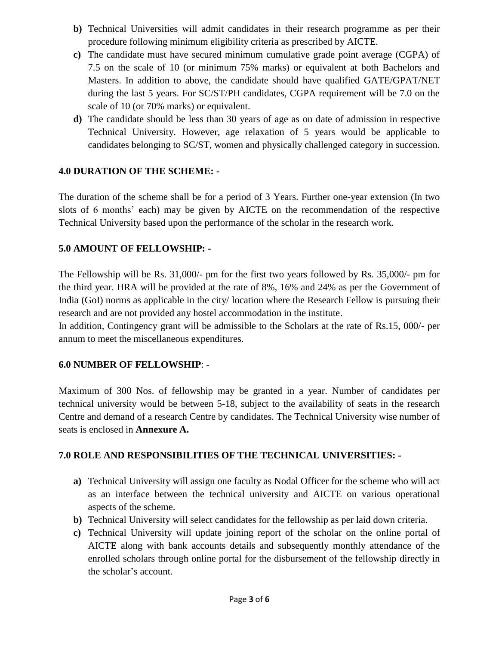- **b)** Technical Universities will admit candidates in their research programme as per their procedure following minimum eligibility criteria as prescribed by AICTE.
- **c)** The candidate must have secured minimum cumulative grade point average (CGPA) of 7.5 on the scale of 10 (or minimum 75% marks) or equivalent at both Bachelors and Masters. In addition to above, the candidate should have qualified GATE/GPAT/NET during the last 5 years. For SC/ST/PH candidates, CGPA requirement will be 7.0 on the scale of 10 (or 70% marks) or equivalent.
- **d)** The candidate should be less than 30 years of age as on date of admission in respective Technical University. However, age relaxation of 5 years would be applicable to candidates belonging to SC/ST, women and physically challenged category in succession.

## **4.0 DURATION OF THE SCHEME: -**

The duration of the scheme shall be for a period of 3 Years. Further one-year extension (In two slots of 6 months' each) may be given by AICTE on the recommendation of the respective Technical University based upon the performance of the scholar in the research work.

## **5.0 AMOUNT OF FELLOWSHIP: -**

The Fellowship will be Rs. 31,000/- pm for the first two years followed by Rs. 35,000/- pm for the third year. HRA will be provided at the rate of 8%, 16% and 24% as per the Government of India (GoI) norms as applicable in the city/ location where the Research Fellow is pursuing their research and are not provided any hostel accommodation in the institute.

In addition, Contingency grant will be admissible to the Scholars at the rate of Rs.15, 000/- per annum to meet the miscellaneous expenditures.

#### **6.0 NUMBER OF FELLOWSHIP**: -

Maximum of 300 Nos. of fellowship may be granted in a year. Number of candidates per technical university would be between 5-18, subject to the availability of seats in the research Centre and demand of a research Centre by candidates. The Technical University wise number of seats is enclosed in **Annexure A.**

#### **7.0 ROLE AND RESPONSIBILITIES OF THE TECHNICAL UNIVERSITIES: -**

- **a)** Technical University will assign one faculty as Nodal Officer for the scheme who will act as an interface between the technical university and AICTE on various operational aspects of the scheme.
- **b)** Technical University will select candidates for the fellowship as per laid down criteria.
- **c)** Technical University will update joining report of the scholar on the online portal of AICTE along with bank accounts details and subsequently monthly attendance of the enrolled scholars through online portal for the disbursement of the fellowship directly in the scholar's account.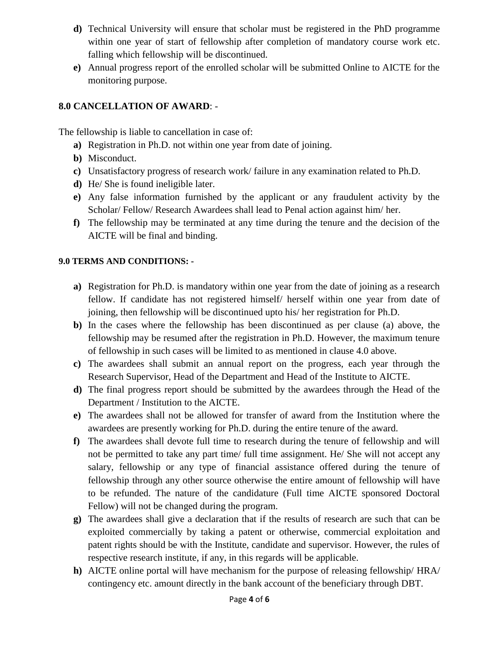- **d)** Technical University will ensure that scholar must be registered in the PhD programme within one year of start of fellowship after completion of mandatory course work etc. falling which fellowship will be discontinued.
- **e)** Annual progress report of the enrolled scholar will be submitted Online to AICTE for the monitoring purpose.

## **8.0 CANCELLATION OF AWARD**: -

The fellowship is liable to cancellation in case of:

- **a)** Registration in Ph.D. not within one year from date of joining.
- **b)** Misconduct.
- **c)** Unsatisfactory progress of research work/ failure in any examination related to Ph.D.
- **d)** He/ She is found ineligible later.
- **e)** Any false information furnished by the applicant or any fraudulent activity by the Scholar/ Fellow/ Research Awardees shall lead to Penal action against him/ her.
- **f)** The fellowship may be terminated at any time during the tenure and the decision of the AICTE will be final and binding.

## **9.0 TERMS AND CONDITIONS: -**

- **a)** Registration for Ph.D. is mandatory within one year from the date of joining as a research fellow. If candidate has not registered himself/ herself within one year from date of joining, then fellowship will be discontinued upto his/ her registration for Ph.D.
- **b)** In the cases where the fellowship has been discontinued as per clause (a) above, the fellowship may be resumed after the registration in Ph.D. However, the maximum tenure of fellowship in such cases will be limited to as mentioned in clause 4.0 above.
- **c)** The awardees shall submit an annual report on the progress, each year through the Research Supervisor, Head of the Department and Head of the Institute to AICTE.
- **d)** The final progress report should be submitted by the awardees through the Head of the Department / Institution to the AICTE.
- **e)** The awardees shall not be allowed for transfer of award from the Institution where the awardees are presently working for Ph.D. during the entire tenure of the award.
- **f)** The awardees shall devote full time to research during the tenure of fellowship and will not be permitted to take any part time/ full time assignment. He/ She will not accept any salary, fellowship or any type of financial assistance offered during the tenure of fellowship through any other source otherwise the entire amount of fellowship will have to be refunded. The nature of the candidature (Full time AICTE sponsored Doctoral Fellow) will not be changed during the program.
- **g)** The awardees shall give a declaration that if the results of research are such that can be exploited commercially by taking a patent or otherwise, commercial exploitation and patent rights should be with the Institute, candidate and supervisor. However, the rules of respective research institute, if any, in this regards will be applicable.
- **h)** AICTE online portal will have mechanism for the purpose of releasing fellowship/ HRA/ contingency etc. amount directly in the bank account of the beneficiary through DBT.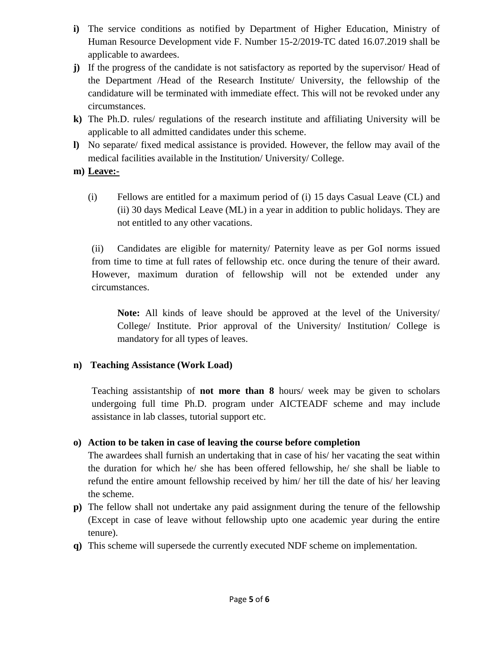- **i)** The service conditions as notified by Department of Higher Education, Ministry of Human Resource Development vide F. Number 15-2/2019-TC dated 16.07.2019 shall be applicable to awardees.
- **j)** If the progress of the candidate is not satisfactory as reported by the supervisor/ Head of the Department /Head of the Research Institute/ University, the fellowship of the candidature will be terminated with immediate effect. This will not be revoked under any circumstances.
- **k)** The Ph.D. rules/ regulations of the research institute and affiliating University will be applicable to all admitted candidates under this scheme.
- **l)** No separate/ fixed medical assistance is provided. However, the fellow may avail of the medical facilities available in the Institution/ University/ College.

## **m) Leave:-**

(i) Fellows are entitled for a maximum period of (i) 15 days Casual Leave (CL) and (ii) 30 days Medical Leave (ML) in a year in addition to public holidays. They are not entitled to any other vacations.

(ii) Candidates are eligible for maternity/ Paternity leave as per GoI norms issued from time to time at full rates of fellowship etc. once during the tenure of their award. However, maximum duration of fellowship will not be extended under any circumstances.

**Note:** All kinds of leave should be approved at the level of the University/ College/ Institute. Prior approval of the University/ Institution/ College is mandatory for all types of leaves.

## **n) Teaching Assistance (Work Load)**

Teaching assistantship of **not more than 8** hours/ week may be given to scholars undergoing full time Ph.D. program under AICTEADF scheme and may include assistance in lab classes, tutorial support etc.

## **o) Action to be taken in case of leaving the course before completion**

The awardees shall furnish an undertaking that in case of his/ her vacating the seat within the duration for which he/ she has been offered fellowship, he/ she shall be liable to refund the entire amount fellowship received by him/ her till the date of his/ her leaving the scheme.

- **p)** The fellow shall not undertake any paid assignment during the tenure of the fellowship (Except in case of leave without fellowship upto one academic year during the entire tenure).
- **q)** This scheme will supersede the currently executed NDF scheme on implementation.